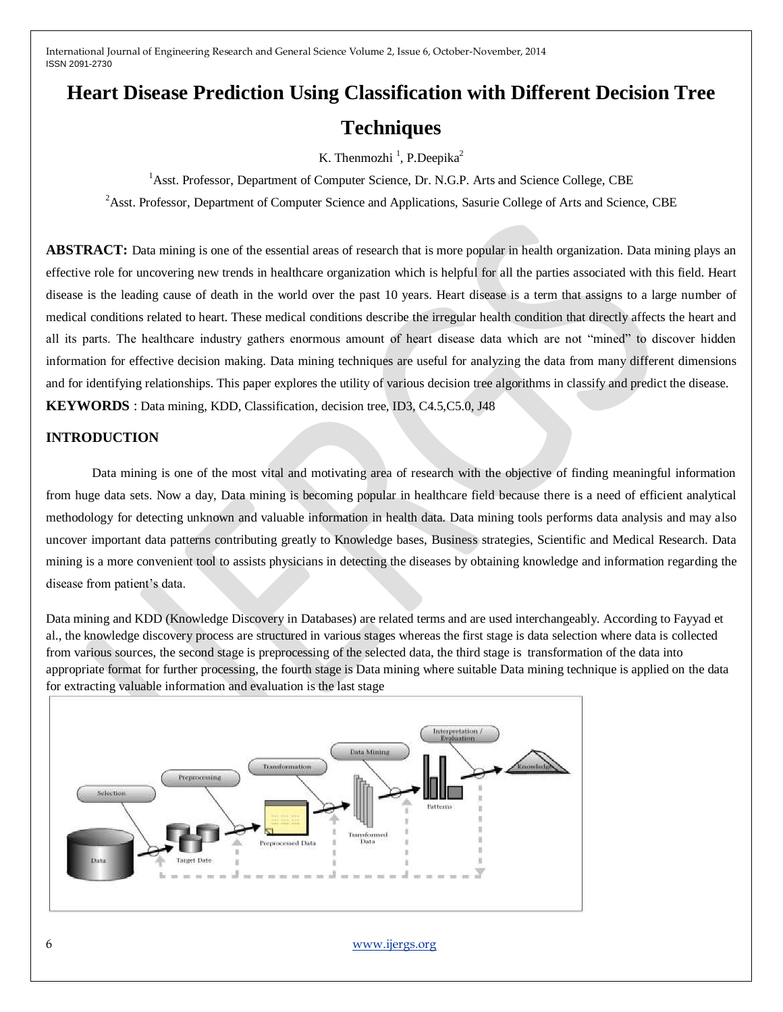# **Heart Disease Prediction Using Classification with Different Decision Tree Techniques**

K. Thenmozhi<sup>1</sup>, P.Deepika<sup>2</sup>

<sup>1</sup> Asst. Professor, Department of Computer Science, Dr. N.G.P. Arts and Science College, CBE

<sup>2</sup>Asst. Professor, Department of Computer Science and Applications, Sasurie College of Arts and Science, CBE

**ABSTRACT:** Data mining is one of the essential areas of research that is more popular in health organization. Data mining plays an effective role for uncovering new trends in healthcare organization which is helpful for all the parties associated with this field. Heart disease is the leading cause of death in the world over the past 10 years. Heart disease is a term that assigns to a large number of medical conditions related to heart. These medical conditions describe the irregular health condition that directly affects the heart and all its parts. The healthcare industry gathers enormous amount of heart disease data which are not "mined" to discover hidden information for effective decision making. Data mining techniques are useful for analyzing the data from many different dimensions and for identifying relationships. This paper explores the utility of various decision tree algorithms in classify and predict the disease. **KEYWORDS** : Data mining, KDD, Classification, decision tree, ID3, C4.5,C5.0, J48

# **INTRODUCTION**

Data mining is one of the most vital and motivating area of research with the objective of finding meaningful information from huge data sets. Now a day, Data mining is becoming popular in healthcare field because there is a need of efficient analytical methodology for detecting unknown and valuable information in health data. Data mining tools performs data analysis and may also uncover important data patterns contributing greatly to Knowledge bases, Business strategies, Scientific and Medical Research. Data mining is a more convenient tool to assists physicians in detecting the diseases by obtaining knowledge and information regarding the disease from patient's data.

Data mining and KDD (Knowledge Discovery in Databases) are related terms and are used interchangeably. According to Fayyad et al., the knowledge discovery process are structured in various stages whereas the first stage is data selection where data is collected from various sources, the second stage is preprocessing of the selected data, the third stage is transformation of the data into appropriate format for further processing, the fourth stage is Data mining where suitable Data mining technique is applied on the data for extracting valuable information and evaluation is the last stage



6 [www.ijergs.org](http://www.ijergs.org/)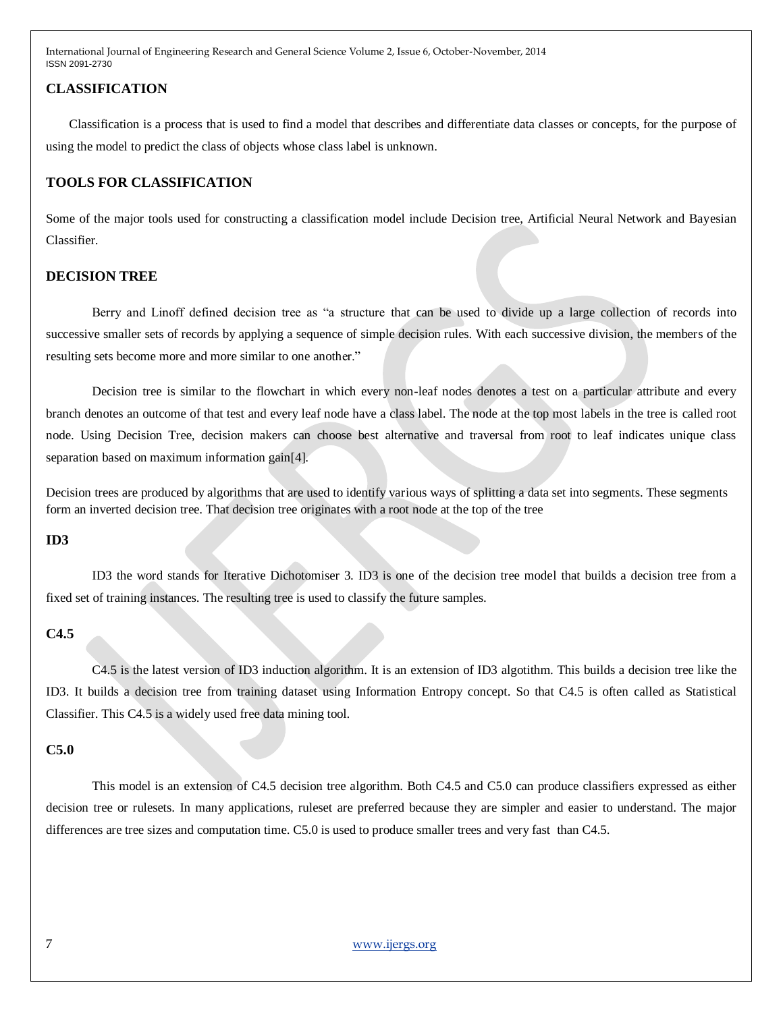## **CLASSIFICATION**

Classification is a process that is used to find a model that describes and differentiate data classes or concepts, for the purpose of using the model to predict the class of objects whose class label is unknown.

# **TOOLS FOR CLASSIFICATION**

Some of the major tools used for constructing a classification model include Decision tree, Artificial Neural Network and Bayesian Classifier.

## **DECISION TREE**

Berry and Linoff defined decision tree as "a structure that can be used to divide up a large collection of records into successive smaller sets of records by applying a sequence of simple decision rules. With each successive division, the members of the resulting sets become more and more similar to one another."

Decision tree is similar to the flowchart in which every non-leaf nodes denotes a test on a particular attribute and every branch denotes an outcome of that test and every leaf node have a class label. The node at the top most labels in the tree is called root node. Using Decision Tree, decision makers can choose best alternative and traversal from root to leaf indicates unique class separation based on maximum information gain[4].

Decision trees are produced by algorithms that are used to identify various ways of splitting a data set into segments. These segments form an inverted decision tree. That decision tree originates with a root node at the top of the tree

#### **ID3**

ID3 the word stands for Iterative Dichotomiser 3. ID3 is one of the decision tree model that builds a decision tree from a fixed set of training instances. The resulting tree is used to classify the future samples.

# **C4.5**

C4.5 is the latest version of ID3 induction algorithm. It is an extension of ID3 algotithm. This builds a decision tree like the ID3. It builds a decision tree from training dataset using Information Entropy concept. So that C4.5 is often called as Statistical Classifier. This C4.5 is a widely used free data mining tool.

#### **C5.0**

This model is an extension of C4.5 decision tree algorithm. Both C4.5 and C5.0 can produce classifiers expressed as either decision tree or rulesets. In many applications, ruleset are preferred because they are simpler and easier to understand. The major differences are tree sizes and computation time. C5.0 is used to produce smaller trees and very fast than C4.5.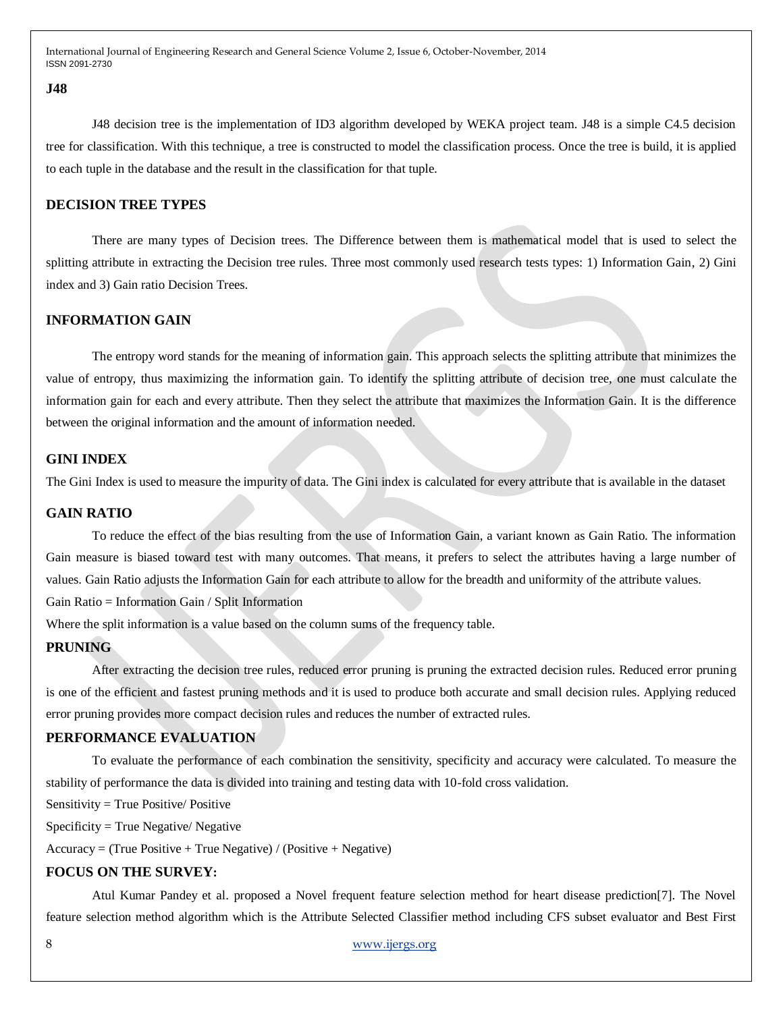#### **J48**

J48 decision tree is the implementation of ID3 algorithm developed by WEKA project team. J48 is a simple C4.5 decision tree for classification. With this technique, a tree is constructed to model the classification process. Once the tree is build, it is applied to each tuple in the database and the result in the classification for that tuple.

# **DECISION TREE TYPES**

There are many types of Decision trees. The Difference between them is mathematical model that is used to select the splitting attribute in extracting the Decision tree rules. Three most commonly used research tests types: 1) Information Gain, 2) Gini index and 3) Gain ratio Decision Trees.

# **INFORMATION GAIN**

The entropy word stands for the meaning of information gain. This approach selects the splitting attribute that minimizes the value of entropy, thus maximizing the information gain. To identify the splitting attribute of decision tree, one must calculate the information gain for each and every attribute. Then they select the attribute that maximizes the Information Gain. It is the difference between the original information and the amount of information needed.

#### **GINI INDEX**

The Gini Index is used to measure the impurity of data. The Gini index is calculated for every attribute that is available in the dataset

### **GAIN RATIO**

To reduce the effect of the bias resulting from the use of Information Gain, a variant known as Gain Ratio. The information Gain measure is biased toward test with many outcomes. That means, it prefers to select the attributes having a large number of values. Gain Ratio adjusts the Information Gain for each attribute to allow for the breadth and uniformity of the attribute values. Gain Ratio = Information Gain / Split Information

Where the split information is a value based on the column sums of the frequency table.

### **PRUNING**

After extracting the decision tree rules, reduced error pruning is pruning the extracted decision rules. Reduced error pruning is one of the efficient and fastest pruning methods and it is used to produce both accurate and small decision rules. Applying reduced error pruning provides more compact decision rules and reduces the number of extracted rules.

# **PERFORMANCE EVALUATION**

To evaluate the performance of each combination the sensitivity, specificity and accuracy were calculated. To measure the stability of performance the data is divided into training and testing data with 10-fold cross validation.

Sensitivity = True Positive/ Positive

Specificity = True Negative/ Negative

 $Accuracy = (True Positive + True Negative) / (Positive + Negative)$ 

# **FOCUS ON THE SURVEY:**

Atul Kumar Pandey et al. proposed a Novel frequent feature selection method for heart disease prediction[7]. The Novel feature selection method algorithm which is the Attribute Selected Classifier method including CFS subset evaluator and Best First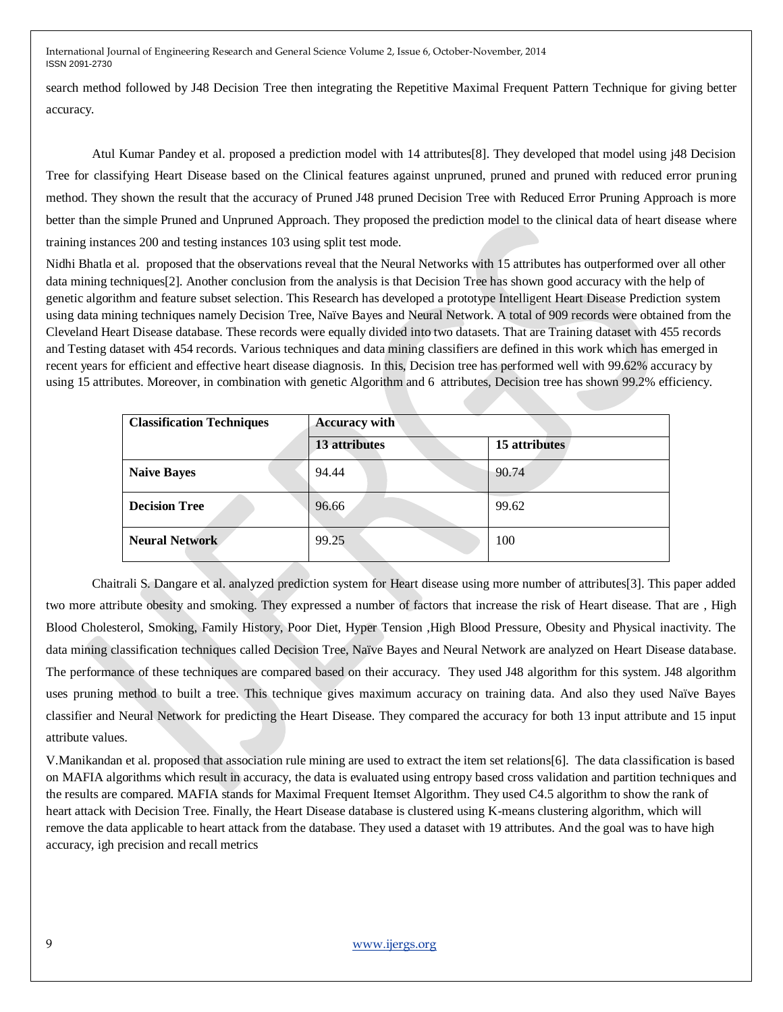search method followed by J48 Decision Tree then integrating the Repetitive Maximal Frequent Pattern Technique for giving better accuracy.

Atul Kumar Pandey et al. proposed a prediction model with 14 attributes[8]. They developed that model using j48 Decision Tree for classifying Heart Disease based on the Clinical features against unpruned, pruned and pruned with reduced error pruning method. They shown the result that the accuracy of Pruned J48 pruned Decision Tree with Reduced Error Pruning Approach is more better than the simple Pruned and Unpruned Approach. They proposed the prediction model to the clinical data of heart disease where training instances 200 and testing instances 103 using split test mode.

Nidhi Bhatla et al. proposed that the observations reveal that the Neural Networks with 15 attributes has outperformed over all other data mining techniques[2]. Another conclusion from the analysis is that Decision Tree has shown good accuracy with the help of genetic algorithm and feature subset selection. This Research has developed a prototype Intelligent Heart Disease Prediction system using data mining techniques namely Decision Tree, Naïve Bayes and Neural Network. A total of 909 records were obtained from the Cleveland Heart Disease database. These records were equally divided into two datasets. That are Training dataset with 455 records and Testing dataset with 454 records. Various techniques and data mining classifiers are defined in this work which has emerged in recent years for efficient and effective heart disease diagnosis. In this, Decision tree has performed well with 99.62% accuracy by using 15 attributes. Moreover, in combination with genetic Algorithm and 6 attributes, Decision tree has shown 99.2% efficiency.

| <b>Classification Techniques</b> | <b>Accuracy with</b> |               |  |
|----------------------------------|----------------------|---------------|--|
|                                  | 13 attributes        | 15 attributes |  |
| <b>Naive Bayes</b>               | 94.44                | 90.74         |  |
| <b>Decision Tree</b>             | 96.66                | 99.62         |  |
| <b>Neural Network</b>            | 99.25                | 100           |  |

Chaitrali S. Dangare et al. analyzed prediction system for Heart disease using more number of attributes[3]. This paper added two more attribute obesity and smoking. They expressed a number of factors that increase the risk of Heart disease. That are , High Blood Cholesterol, Smoking, Family History, Poor Diet, Hyper Tension ,High Blood Pressure, Obesity and Physical inactivity. The data mining classification techniques called Decision Tree, Naïve Bayes and Neural Network are analyzed on Heart Disease database. The performance of these techniques are compared based on their accuracy. They used J48 algorithm for this system. J48 algorithm uses pruning method to built a tree. This technique gives maximum accuracy on training data. And also they used Naïve Bayes classifier and Neural Network for predicting the Heart Disease. They compared the accuracy for both 13 input attribute and 15 input attribute values.

V.Manikandan et al. proposed that association rule mining are used to extract the item set relations[6]. The data classification is based on MAFIA algorithms which result in accuracy, the data is evaluated using entropy based cross validation and partition techniques and the results are compared. MAFIA stands for Maximal Frequent Itemset Algorithm. They used C4.5 algorithm to show the rank of heart attack with Decision Tree. Finally, the Heart Disease database is clustered using K-means clustering algorithm, which will remove the data applicable to heart attack from the database. They used a dataset with 19 attributes. And the goal was to have high accuracy, igh precision and recall metrics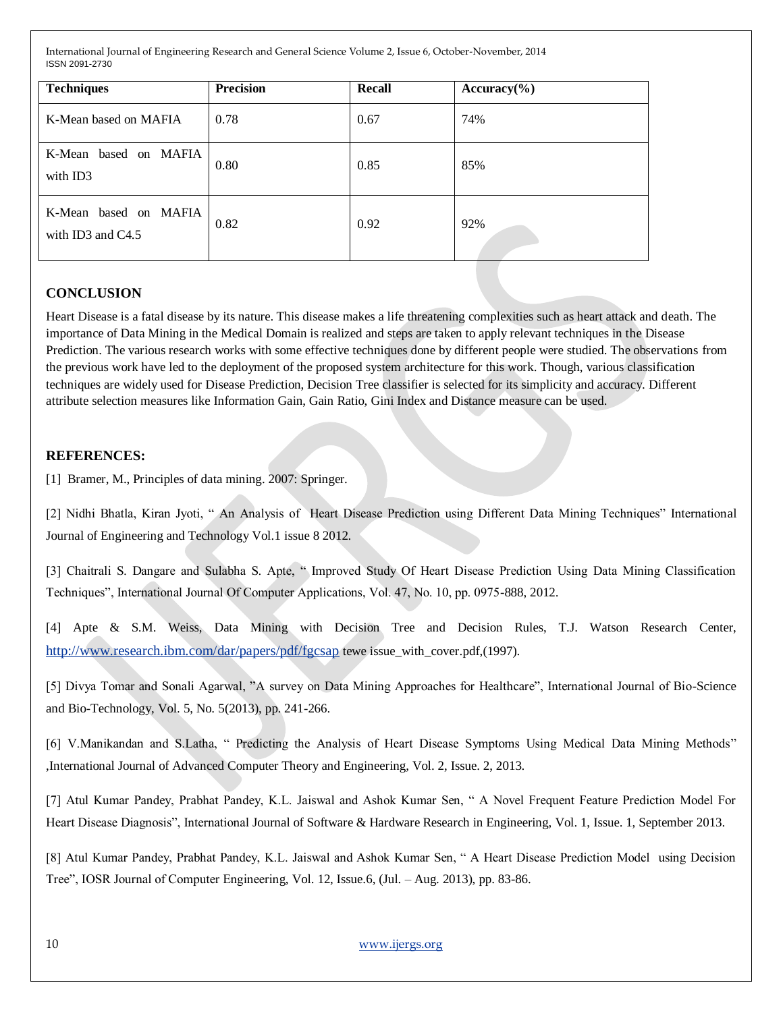| <b>Techniques</b>                          | <b>Precision</b> | Recall | $Accuracy(\% )$ |
|--------------------------------------------|------------------|--------|-----------------|
| K-Mean based on MAFIA                      | 0.78             | 0.67   | 74%             |
| K-Mean based on MAFIA<br>with ID3          | 0.80             | 0.85   | 85%             |
| K-Mean based on MAFIA<br>with ID3 and C4.5 | 0.82             | 0.92   | 92%             |

# **CONCLUSION**

Heart Disease is a fatal disease by its nature. This disease makes a life threatening complexities such as heart attack and death. The importance of Data Mining in the Medical Domain is realized and steps are taken to apply relevant techniques in the Disease Prediction. The various research works with some effective techniques done by different people were studied. The observations from the previous work have led to the deployment of the proposed system architecture for this work. Though, various classification techniques are widely used for Disease Prediction, Decision Tree classifier is selected for its simplicity and accuracy. Different attribute selection measures like Information Gain, Gain Ratio, Gini Index and Distance measure can be used.

# **REFERENCES:**

[1] Bramer, M., Principles of data mining. 2007: Springer.

[2] Nidhi Bhatla, Kiran Jyoti, " An Analysis of Heart Disease Prediction using Different Data Mining Techniques" International Journal of Engineering and Technology Vol.1 issue 8 2012.

[3] Chaitrali S. Dangare and Sulabha S. Apte, " Improved Study Of Heart Disease Prediction Using Data Mining Classification Techniques", International Journal Of Computer Applications, Vol. 47, No. 10, pp. 0975-888, 2012.

[4] Apte & S.M. Weiss, Data Mining with Decision Tree and Decision Rules, T.J. Watson Research Center, <http://www.research.ibm.com/dar/papers/pdf/fgcsap> tewe issue\_with\_cover.pdf,(1997).

[5] Divya Tomar and Sonali Agarwal, "A survey on Data Mining Approaches for Healthcare", International Journal of Bio-Science and Bio-Technology, Vol. 5, No. 5(2013), pp. 241-266.

[6] V.Manikandan and S.Latha, " Predicting the Analysis of Heart Disease Symptoms Using Medical Data Mining Methods" ,International Journal of Advanced Computer Theory and Engineering, Vol. 2, Issue. 2, 2013.

[7] Atul Kumar Pandey, Prabhat Pandey, K.L. Jaiswal and Ashok Kumar Sen, " A Novel Frequent Feature Prediction Model For Heart Disease Diagnosis", International Journal of Software & Hardware Research in Engineering, Vol. 1, Issue. 1, September 2013.

[8] Atul Kumar Pandey, Prabhat Pandey, K.L. Jaiswal and Ashok Kumar Sen, " A Heart Disease Prediction Model using Decision Tree", IOSR Journal of Computer Engineering, Vol. 12, Issue.6, (Jul. – Aug. 2013), pp. 83-86.